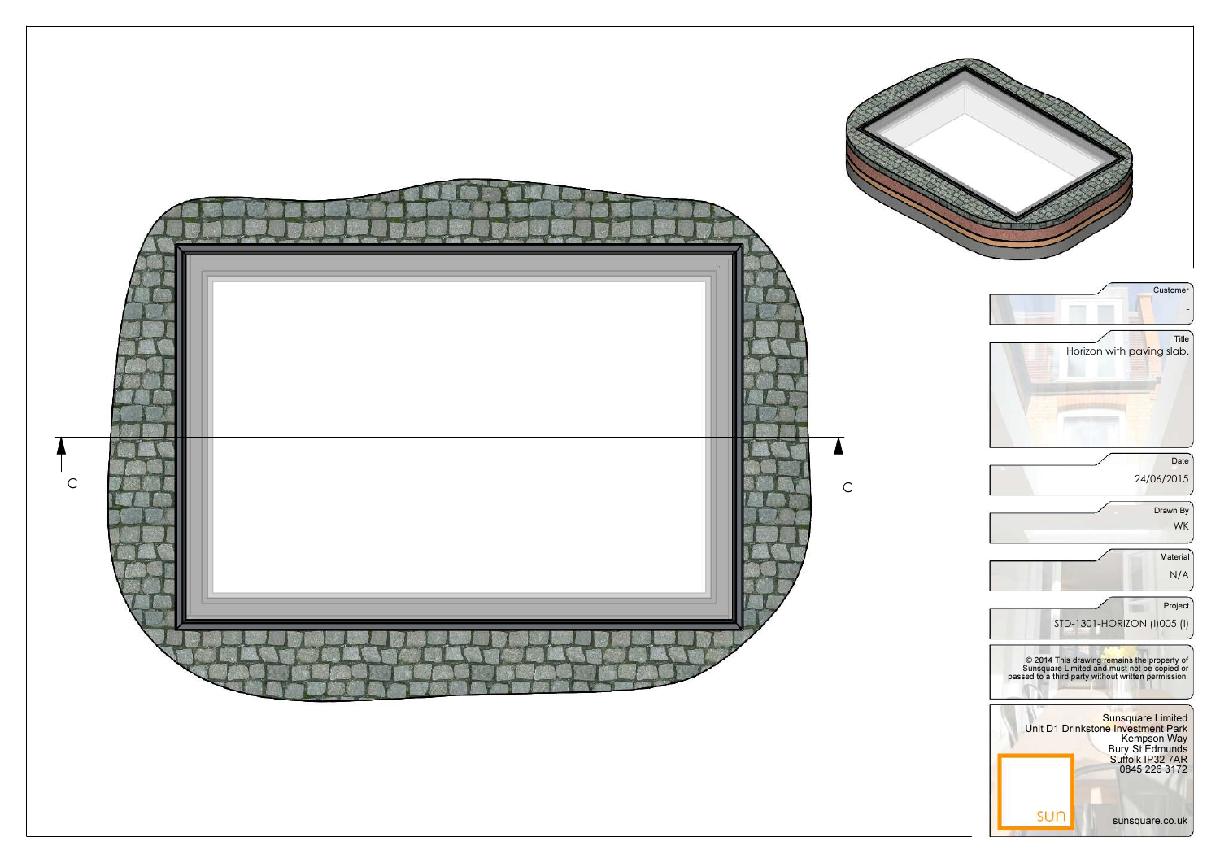

sunsquare.co.uk